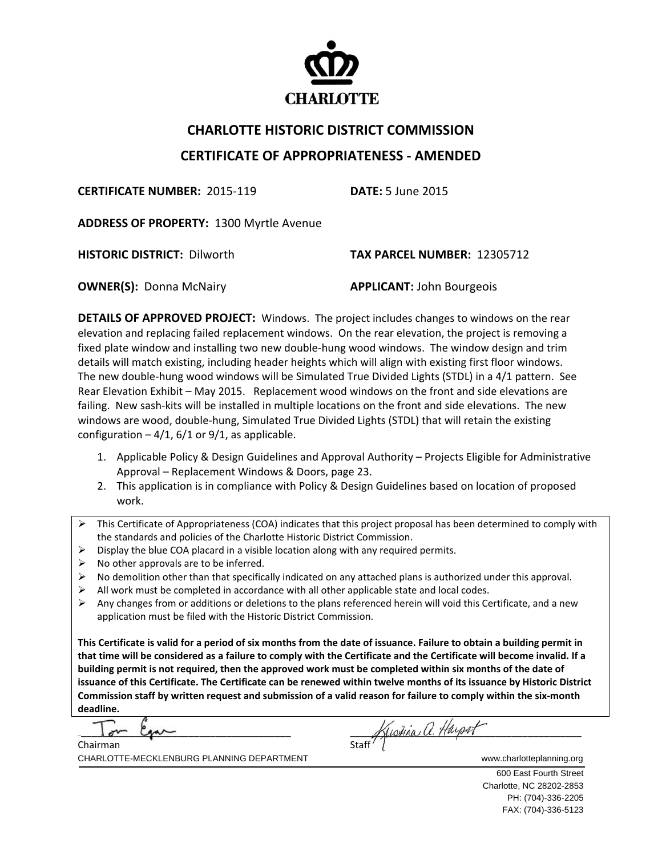

## **CHARLOTTE HISTORIC DISTRICT COMMISSION CERTIFICATE OF APPROPRIATENESS ‐ AMENDED**

**CERTIFICATE NUMBER:** 2015‐119 **DATE:** 5 June 2015

**ADDRESS OF PROPERTY:** 1300 Myrtle Avenue

**HISTORIC DISTRICT:** Dilworth **TAX PARCEL NUMBER:** 12305712

**OWNER(S):** Donna McNairy **APPLICANT:** John Bourgeois

**DETAILS OF APPROVED PROJECT:** Windows. The project includes changes to windows on the rear elevation and replacing failed replacement windows. On the rear elevation, the project is removing a fixed plate window and installing two new double‐hung wood windows. The window design and trim details will match existing, including header heights which will align with existing first floor windows. The new double-hung wood windows will be Simulated True Divided Lights (STDL) in a 4/1 pattern. See Rear Elevation Exhibit – May 2015. Replacement wood windows on the front and side elevations are failing. New sash-kits will be installed in multiple locations on the front and side elevations. The new windows are wood, double-hung, Simulated True Divided Lights (STDL) that will retain the existing configuration  $-4/1$ , 6/1 or 9/1, as applicable.

- 1. Applicable Policy & Design Guidelines and Approval Authority Projects Eligible for Administrative Approval – Replacement Windows & Doors, page 23.
- 2. This application is in compliance with Policy & Design Guidelines based on location of proposed work.
- This Certificate of Appropriateness (COA) indicates that this project proposal has been determined to comply with the standards and policies of the Charlotte Historic District Commission.
- $\triangleright$  Display the blue COA placard in a visible location along with any required permits.
- $\triangleright$  No other approvals are to be inferred.
- $\triangleright$  No demolition other than that specifically indicated on any attached plans is authorized under this approval.
- $\triangleright$  All work must be completed in accordance with all other applicable state and local codes.
- Any changes from or additions or deletions to the plans referenced herein will void this Certificate, and a new application must be filed with the Historic District Commission.

This Certificate is valid for a period of six months from the date of issuance. Failure to obtain a building permit in that time will be considered as a failure to comply with the Certificate and the Certificate will become invalid. If a building permit is not required, then the approved work must be completed within six months of the date of issuance of this Certificate. The Certificate can be renewed within twelve months of its issuance by Historic District Commission staff by written request and submission of a valid reason for failure to comply within the six-month **deadline.**

÷, Chairman

Staff Hustina a. Haypot

CHARLOTTE-MECKLENBURG PLANNING DEPARTMENT WWW.charlotteplanning.org

 600 East Fourth Street Charlotte, NC 28202-2853 PH: (704)-336-2205 FAX: (704)-336-5123